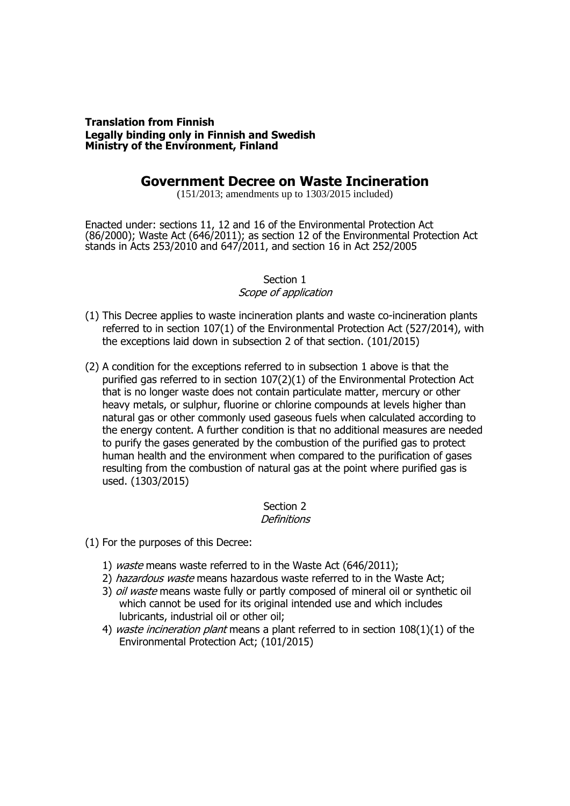#### **Translation from Finnish Legally binding only in Finnish and Swedish Ministry of the Environment, Finland**

# **Government Decree on Waste Incineration**

(151/2013; amendments up to 1303/2015 included)

Enacted under: sections 11, 12 and 16 of the Environmental Protection Act (86/2000); Waste Act (646/2011); as section 12 of the Environmental Protection Act stands in Acts 253/2010 and 647/2011, and section 16 in Act 252/2005

### Section 1 Scope of application

- (1) This Decree applies to waste incineration plants and waste co-incineration plants referred to in section 107(1) of the Environmental Protection Act (527/2014), with the exceptions laid down in subsection 2 of that section. (101/2015)
- (2) A condition for the exceptions referred to in subsection 1 above is that the purified gas referred to in section 107(2)(1) of the Environmental Protection Act that is no longer waste does not contain particulate matter, mercury or other heavy metals, or sulphur, fluorine or chlorine compounds at levels higher than natural gas or other commonly used gaseous fuels when calculated according to the energy content. A further condition is that no additional measures are needed to purify the gases generated by the combustion of the purified gas to protect human health and the environment when compared to the purification of gases resulting from the combustion of natural gas at the point where purified gas is used. (1303/2015)

# Section 2

# **Definitions**

- (1) For the purposes of this Decree:
	- 1) waste means waste referred to in the Waste Act (646/2011);
	- 2) hazardous waste means hazardous waste referred to in the Waste Act;
	- 3) *oil waste* means waste fully or partly composed of mineral oil or synthetic oil which cannot be used for its original intended use and which includes lubricants, industrial oil or other oil;
	- 4) waste incineration plant means a plant referred to in section  $108(1)(1)$  of the Environmental Protection Act; (101/2015)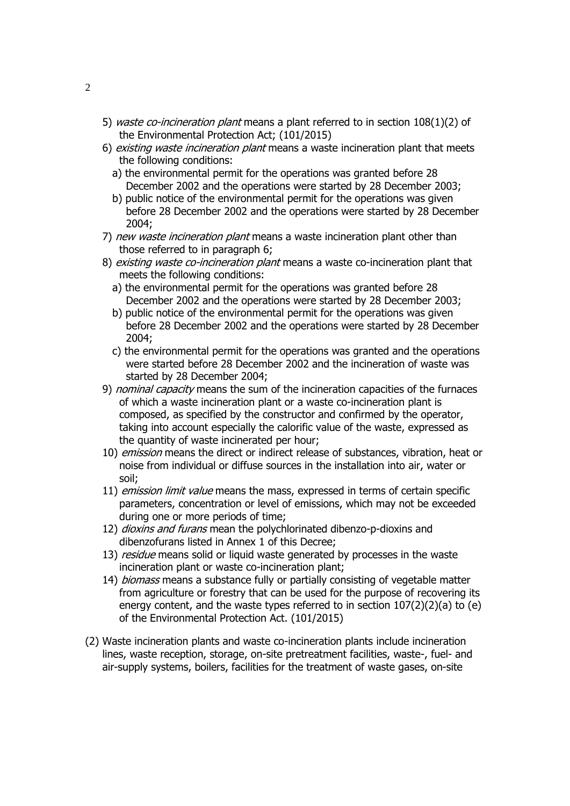- 5) waste co-incineration plant means a plant referred to in section 108(1)(2) of the Environmental Protection Act; (101/2015)
- 6) existing waste incineration plant means a waste incineration plant that meets the following conditions:
	- a) the environmental permit for the operations was granted before 28 December 2002 and the operations were started by 28 December 2003;
	- b) public notice of the environmental permit for the operations was given before 28 December 2002 and the operations were started by 28 December 2004;
- 7) new waste incineration plant means a waste incineration plant other than those referred to in paragraph 6;
- 8) existing waste co-incineration plant means a waste co-incineration plant that meets the following conditions:
	- a) the environmental permit for the operations was granted before 28 December 2002 and the operations were started by 28 December 2003;
	- b) public notice of the environmental permit for the operations was given before 28 December 2002 and the operations were started by 28 December 2004;
	- c) the environmental permit for the operations was granted and the operations were started before 28 December 2002 and the incineration of waste was started by 28 December 2004;
- 9) nominal capacity means the sum of the incineration capacities of the furnaces of which a waste incineration plant or a waste co-incineration plant is composed, as specified by the constructor and confirmed by the operator, taking into account especially the calorific value of the waste, expressed as the quantity of waste incinerated per hour;
- 10) emission means the direct or indirect release of substances, vibration, heat or noise from individual or diffuse sources in the installation into air, water or soil;
- 11) *emission limit value* means the mass, expressed in terms of certain specific parameters, concentration or level of emissions, which may not be exceeded during one or more periods of time;
- 12) *dioxins and furans* mean the polychlorinated dibenzo-p-dioxins and dibenzofurans listed in Annex 1 of this Decree;
- 13) residue means solid or liquid waste generated by processes in the waste incineration plant or waste co-incineration plant;
- 14) *biomass* means a substance fully or partially consisting of vegetable matter from agriculture or forestry that can be used for the purpose of recovering its energy content, and the waste types referred to in section 107(2)(2)(a) to (e) of the Environmental Protection Act. (101/2015)
- (2) Waste incineration plants and waste co-incineration plants include incineration lines, waste reception, storage, on-site pretreatment facilities, waste-, fuel- and air-supply systems, boilers, facilities for the treatment of waste gases, on-site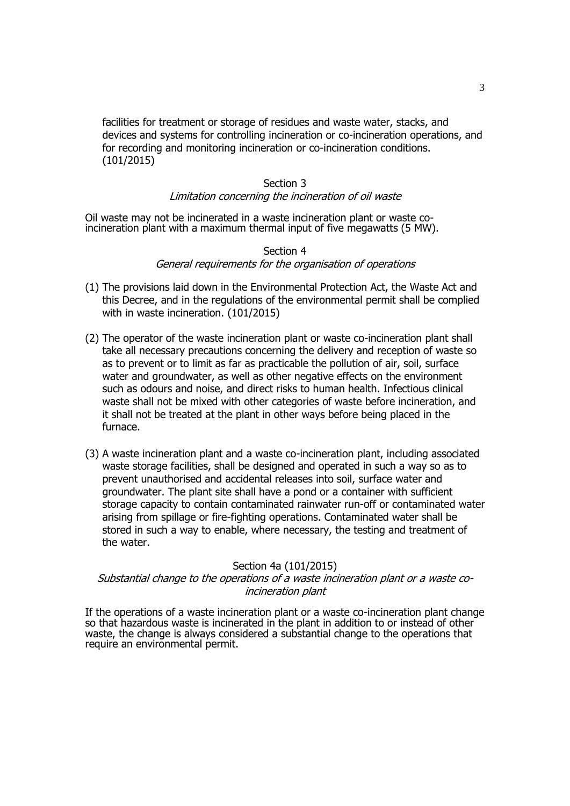facilities for treatment or storage of residues and waste water, stacks, and devices and systems for controlling incineration or co-incineration operations, and for recording and monitoring incineration or co-incineration conditions. (101/2015)

#### Section 3 Limitation concerning the incineration of oil waste

Oil waste may not be incinerated in a waste incineration plant or waste coincineration plant with a maximum thermal input of five megawatts (5 MW).

### Section 4 General requirements for the organisation of operations

- (1) The provisions laid down in the Environmental Protection Act, the Waste Act and this Decree, and in the regulations of the environmental permit shall be complied with in waste incineration. (101/2015)
- (2) The operator of the waste incineration plant or waste co-incineration plant shall take all necessary precautions concerning the delivery and reception of waste so as to prevent or to limit as far as practicable the pollution of air, soil, surface water and groundwater, as well as other negative effects on the environment such as odours and noise, and direct risks to human health. Infectious clinical waste shall not be mixed with other categories of waste before incineration, and it shall not be treated at the plant in other ways before being placed in the furnace.
- (3) A waste incineration plant and a waste co-incineration plant, including associated waste storage facilities, shall be designed and operated in such a way so as to prevent unauthorised and accidental releases into soil, surface water and groundwater. The plant site shall have a pond or a container with sufficient storage capacity to contain contaminated rainwater run-off or contaminated water arising from spillage or fire-fighting operations. Contaminated water shall be stored in such a way to enable, where necessary, the testing and treatment of the water.

## Section 4a (101/2015)

### Substantial change to the operations of a waste incineration plant or a waste coincineration plant

If the operations of a waste incineration plant or a waste co-incineration plant change so that hazardous waste is incinerated in the plant in addition to or instead of other waste, the change is always considered a substantial change to the operations that require an environmental permit.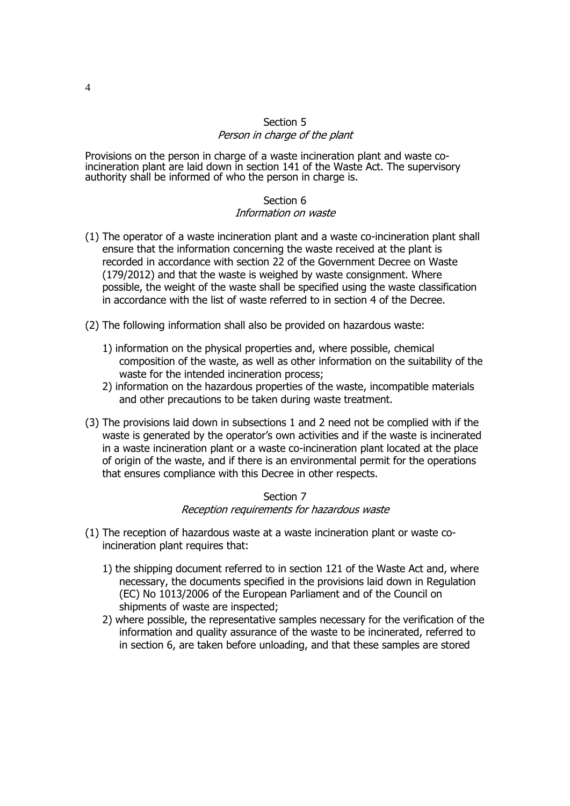## Section 5 Person in charge of the plant

Provisions on the person in charge of a waste incineration plant and waste coincineration plant are laid down in section 141 of the Waste Act. The supervisory authority shall be informed of who the person in charge is.

### Section 6 Information on waste

- (1) The operator of a waste incineration plant and a waste co-incineration plant shall ensure that the information concerning the waste received at the plant is recorded in accordance with section 22 of the Government Decree on Waste (179/2012) and that the waste is weighed by waste consignment. Where possible, the weight of the waste shall be specified using the waste classification in accordance with the list of waste referred to in section 4 of the Decree.
- (2) The following information shall also be provided on hazardous waste:
	- 1) information on the physical properties and, where possible, chemical composition of the waste, as well as other information on the suitability of the waste for the intended incineration process;
	- 2) information on the hazardous properties of the waste, incompatible materials and other precautions to be taken during waste treatment.
- (3) The provisions laid down in subsections 1 and 2 need not be complied with if the waste is generated by the operator's own activities and if the waste is incinerated in a waste incineration plant or a waste co-incineration plant located at the place of origin of the waste, and if there is an environmental permit for the operations that ensures compliance with this Decree in other respects.

### Section 7 Reception requirements for hazardous waste

- (1) The reception of hazardous waste at a waste incineration plant or waste coincineration plant requires that:
	- 1) the shipping document referred to in section 121 of the Waste Act and, where necessary, the documents specified in the provisions laid down in Regulation (EC) No 1013/2006 of the European Parliament and of the Council on shipments of waste are inspected;
	- 2) where possible, the representative samples necessary for the verification of the information and quality assurance of the waste to be incinerated, referred to in section 6, are taken before unloading, and that these samples are stored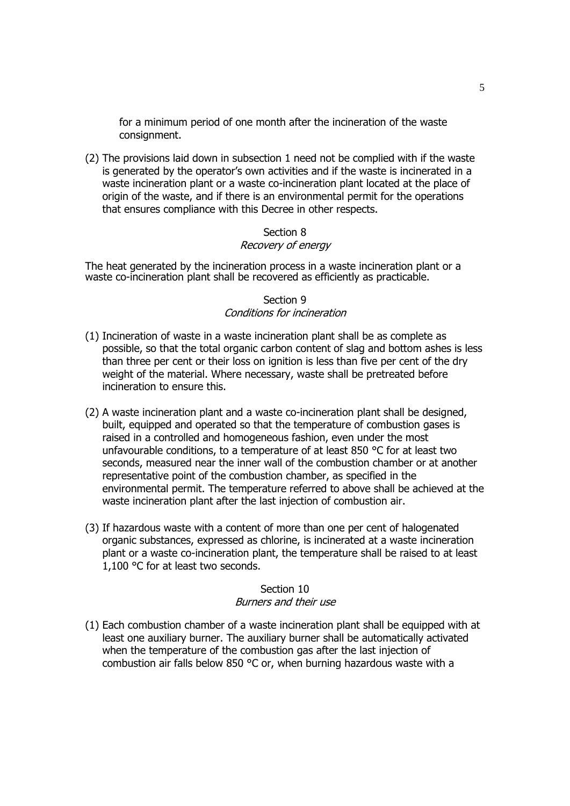for a minimum period of one month after the incineration of the waste consignment.

(2) The provisions laid down in subsection 1 need not be complied with if the waste is generated by the operator's own activities and if the waste is incinerated in a waste incineration plant or a waste co-incineration plant located at the place of origin of the waste, and if there is an environmental permit for the operations that ensures compliance with this Decree in other respects.

#### Section 8 Recovery of energy

# The heat generated by the incineration process in a waste incineration plant or a waste co-incineration plant shall be recovered as efficiently as practicable.

## Section 9 Conditions for incineration

- (1) Incineration of waste in a waste incineration plant shall be as complete as possible, so that the total organic carbon content of slag and bottom ashes is less than three per cent or their loss on ignition is less than five per cent of the dry weight of the material. Where necessary, waste shall be pretreated before incineration to ensure this.
- (2) A waste incineration plant and a waste co-incineration plant shall be designed, built, equipped and operated so that the temperature of combustion gases is raised in a controlled and homogeneous fashion, even under the most unfavourable conditions, to a temperature of at least 850 °C for at least two seconds, measured near the inner wall of the combustion chamber or at another representative point of the combustion chamber, as specified in the environmental permit. The temperature referred to above shall be achieved at the waste incineration plant after the last injection of combustion air.
- (3) If hazardous waste with a content of more than one per cent of halogenated organic substances, expressed as chlorine, is incinerated at a waste incineration plant or a waste co-incineration plant, the temperature shall be raised to at least 1,100 °C for at least two seconds.

## Section 10 Burners and their use

(1) Each combustion chamber of a waste incineration plant shall be equipped with at least one auxiliary burner. The auxiliary burner shall be automatically activated when the temperature of the combustion gas after the last injection of combustion air falls below 850 °C or, when burning hazardous waste with a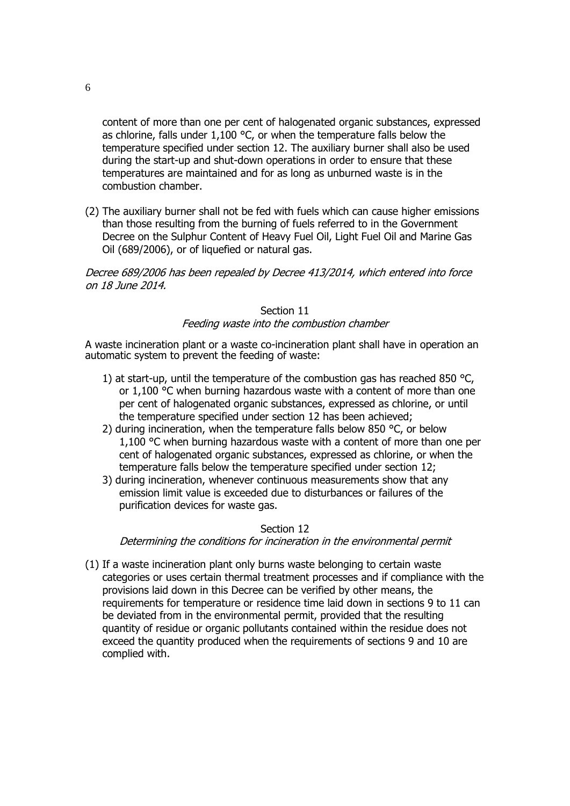content of more than one per cent of halogenated organic substances, expressed as chlorine, falls under  $1,100$  °C, or when the temperature falls below the temperature specified under section 12. The auxiliary burner shall also be used during the start-up and shut-down operations in order to ensure that these temperatures are maintained and for as long as unburned waste is in the combustion chamber.

(2) The auxiliary burner shall not be fed with fuels which can cause higher emissions than those resulting from the burning of fuels referred to in the Government Decree on the Sulphur Content of Heavy Fuel Oil, Light Fuel Oil and Marine Gas Oil (689/2006), or of liquefied or natural gas.

Decree 689/2006 has been repealed by Decree 413/2014, which entered into force on 18 June 2014.

# Section 11

#### Feeding waste into the combustion chamber

A waste incineration plant or a waste co-incineration plant shall have in operation an automatic system to prevent the feeding of waste:

- 1) at start-up, until the temperature of the combustion gas has reached 850 °C, or 1,100 °C when burning hazardous waste with a content of more than one per cent of halogenated organic substances, expressed as chlorine, or until the temperature specified under section 12 has been achieved;
- 2) during incineration, when the temperature falls below 850 °C, or below 1,100 °C when burning hazardous waste with a content of more than one per cent of halogenated organic substances, expressed as chlorine, or when the temperature falls below the temperature specified under section 12;
- 3) during incineration, whenever continuous measurements show that any emission limit value is exceeded due to disturbances or failures of the purification devices for waste gas.

#### Section 12

#### Determining the conditions for incineration in the environmental permit

(1) If a waste incineration plant only burns waste belonging to certain waste categories or uses certain thermal treatment processes and if compliance with the provisions laid down in this Decree can be verified by other means, the requirements for temperature or residence time laid down in sections 9 to 11 can be deviated from in the environmental permit, provided that the resulting quantity of residue or organic pollutants contained within the residue does not exceed the quantity produced when the requirements of sections 9 and 10 are complied with.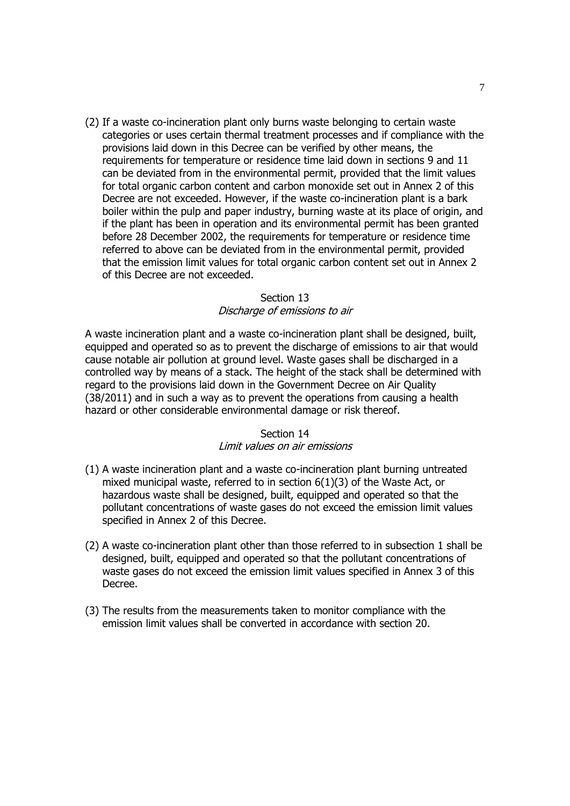(2) If a waste co-incineration plant only burns waste belonging to certain waste categories or uses certain thermal treatment processes and if compliance with the provisions laid down in this Decree can be verified by other means, the requirements for temperature or residence time laid down in sections 9 and 11 can be deviated from in the environmental permit, provided that the limit values for total organic carbon content and carbon monoxide set out in Annex 2 of this Decree are not exceeded. However, if the waste co-incineration plant is a bark boiler within the pulp and paper industry, burning waste at its place of origin, and if the plant has been in operation and its environmental permit has been granted before 28 December 2002, the requirements for temperature or residence time referred to above can be deviated from in the environmental permit, provided that the emission limit values for total organic carbon content set out in Annex 2 of this Decree are not exceeded.

#### Section 13 Discharge of emissions to air

A waste incineration plant and a waste co-incineration plant shall be designed, built, equipped and operated so as to prevent the discharge of emissions to air that would cause notable air pollution at ground level. Waste gases shall be discharged in a controlled way by means of a stack. The height of the stack shall be determined with regard to the provisions laid down in the Government Decree on Air Quality (38/2011) and in such a way as to prevent the operations from causing a health hazard or other considerable environmental damage or risk thereof.

### Section 14

## Limit values on air emissions

- (1) A waste incineration plant and a waste co-incineration plant burning untreated mixed municipal waste, referred to in section 6(1)(3) of the Waste Act, or hazardous waste shall be designed, built, equipped and operated so that the pollutant concentrations of waste gases do not exceed the emission limit values specified in Annex 2 of this Decree.
- (2) A waste co-incineration plant other than those referred to in subsection 1 shall be designed, built, equipped and operated so that the pollutant concentrations of waste gases do not exceed the emission limit values specified in Annex 3 of this Decree.
- (3) The results from the measurements taken to monitor compliance with the emission limit values shall be converted in accordance with section 20.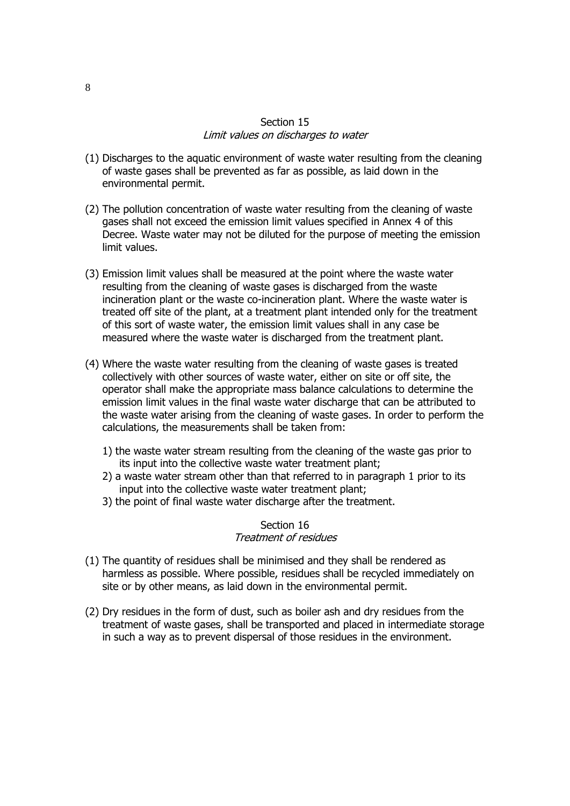## Section 15 Limit values on discharges to water

- (1) Discharges to the aquatic environment of waste water resulting from the cleaning of waste gases shall be prevented as far as possible, as laid down in the environmental permit.
- (2) The pollution concentration of waste water resulting from the cleaning of waste gases shall not exceed the emission limit values specified in Annex 4 of this Decree. Waste water may not be diluted for the purpose of meeting the emission limit values.
- (3) Emission limit values shall be measured at the point where the waste water resulting from the cleaning of waste gases is discharged from the waste incineration plant or the waste co-incineration plant. Where the waste water is treated off site of the plant, at a treatment plant intended only for the treatment of this sort of waste water, the emission limit values shall in any case be measured where the waste water is discharged from the treatment plant.
- (4) Where the waste water resulting from the cleaning of waste gases is treated collectively with other sources of waste water, either on site or off site, the operator shall make the appropriate mass balance calculations to determine the emission limit values in the final waste water discharge that can be attributed to the waste water arising from the cleaning of waste gases. In order to perform the calculations, the measurements shall be taken from:
	- 1) the waste water stream resulting from the cleaning of the waste gas prior to its input into the collective waste water treatment plant;
	- 2) a waste water stream other than that referred to in paragraph 1 prior to its input into the collective waste water treatment plant;
	- 3) the point of final waste water discharge after the treatment.

#### Section 16 Treatment of residues

- (1) The quantity of residues shall be minimised and they shall be rendered as harmless as possible. Where possible, residues shall be recycled immediately on site or by other means, as laid down in the environmental permit.
- (2) Dry residues in the form of dust, such as boiler ash and dry residues from the treatment of waste gases, shall be transported and placed in intermediate storage in such a way as to prevent dispersal of those residues in the environment.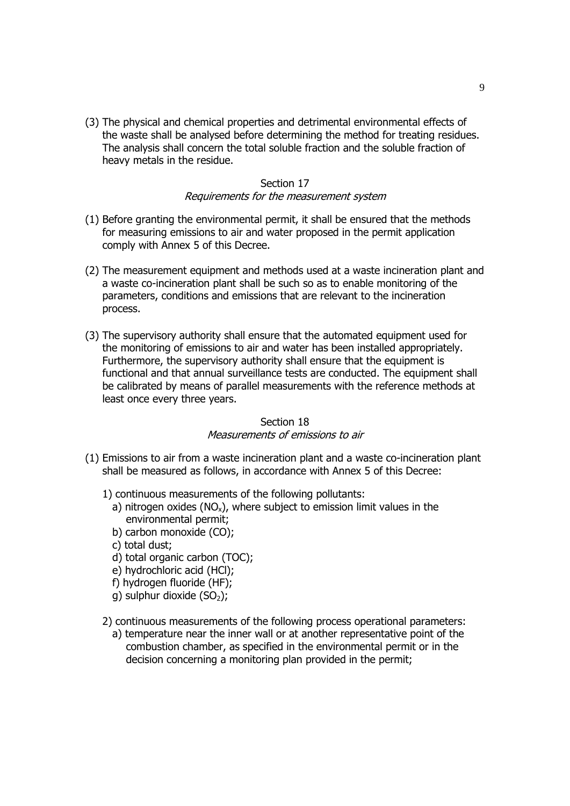(3) The physical and chemical properties and detrimental environmental effects of the waste shall be analysed before determining the method for treating residues. The analysis shall concern the total soluble fraction and the soluble fraction of heavy metals in the residue.

## Section 17 Requirements for the measurement system

- (1) Before granting the environmental permit, it shall be ensured that the methods for measuring emissions to air and water proposed in the permit application comply with Annex 5 of this Decree.
- (2) The measurement equipment and methods used at a waste incineration plant and a waste co-incineration plant shall be such so as to enable monitoring of the parameters, conditions and emissions that are relevant to the incineration process.
- (3) The supervisory authority shall ensure that the automated equipment used for the monitoring of emissions to air and water has been installed appropriately. Furthermore, the supervisory authority shall ensure that the equipment is functional and that annual surveillance tests are conducted. The equipment shall be calibrated by means of parallel measurements with the reference methods at least once every three years.

### Section 18 Measurements of emissions to air

- (1) Emissions to air from a waste incineration plant and a waste co-incineration plant shall be measured as follows, in accordance with Annex 5 of this Decree:
	- 1) continuous measurements of the following pollutants:
		- a) nitrogen oxides ( $NO_x$ ), where subject to emission limit values in the environmental permit;
		- b) carbon monoxide (CO);
		- c) total dust;
		- d) total organic carbon (TOC);
		- e) hydrochloric acid (HCl);
		- f) hydrogen fluoride (HF);
		- q) sulphur dioxide  $(SO<sub>2</sub>)$ ;
	- 2) continuous measurements of the following process operational parameters: a) temperature near the inner wall or at another representative point of the combustion chamber, as specified in the environmental permit or in the decision concerning a monitoring plan provided in the permit;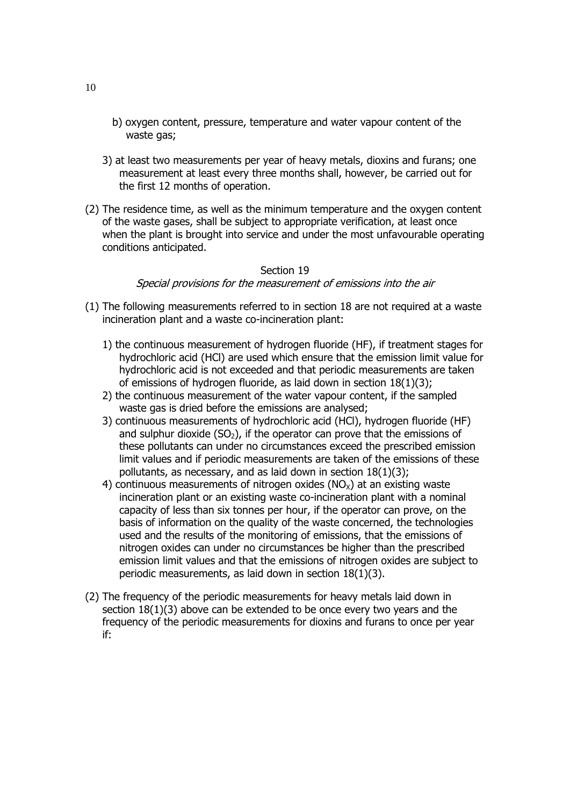- b) oxygen content, pressure, temperature and water vapour content of the waste gas;
- 3) at least two measurements per year of heavy metals, dioxins and furans; one measurement at least every three months shall, however, be carried out for the first 12 months of operation.
- (2) The residence time, as well as the minimum temperature and the oxygen content of the waste gases, shall be subject to appropriate verification, at least once when the plant is brought into service and under the most unfavourable operating conditions anticipated.

#### Special provisions for the measurement of emissions into the air

- (1) The following measurements referred to in section 18 are not required at a waste incineration plant and a waste co-incineration plant:
	- 1) the continuous measurement of hydrogen fluoride (HF), if treatment stages for hydrochloric acid (HCl) are used which ensure that the emission limit value for hydrochloric acid is not exceeded and that periodic measurements are taken of emissions of hydrogen fluoride, as laid down in section 18(1)(3);
	- 2) the continuous measurement of the water vapour content, if the sampled waste gas is dried before the emissions are analysed;
	- 3) continuous measurements of hydrochloric acid (HCl), hydrogen fluoride (HF) and sulphur dioxide  $(SO<sub>2</sub>)$ , if the operator can prove that the emissions of these pollutants can under no circumstances exceed the prescribed emission limit values and if periodic measurements are taken of the emissions of these pollutants, as necessary, and as laid down in section 18(1)(3);
	- 4) continuous measurements of nitrogen oxides ( $NO<sub>x</sub>$ ) at an existing waste incineration plant or an existing waste co-incineration plant with a nominal capacity of less than six tonnes per hour, if the operator can prove, on the basis of information on the quality of the waste concerned, the technologies used and the results of the monitoring of emissions, that the emissions of nitrogen oxides can under no circumstances be higher than the prescribed emission limit values and that the emissions of nitrogen oxides are subject to periodic measurements, as laid down in section 18(1)(3).
- (2) The frequency of the periodic measurements for heavy metals laid down in section  $18(1)(3)$  above can be extended to be once every two years and the frequency of the periodic measurements for dioxins and furans to once per year if: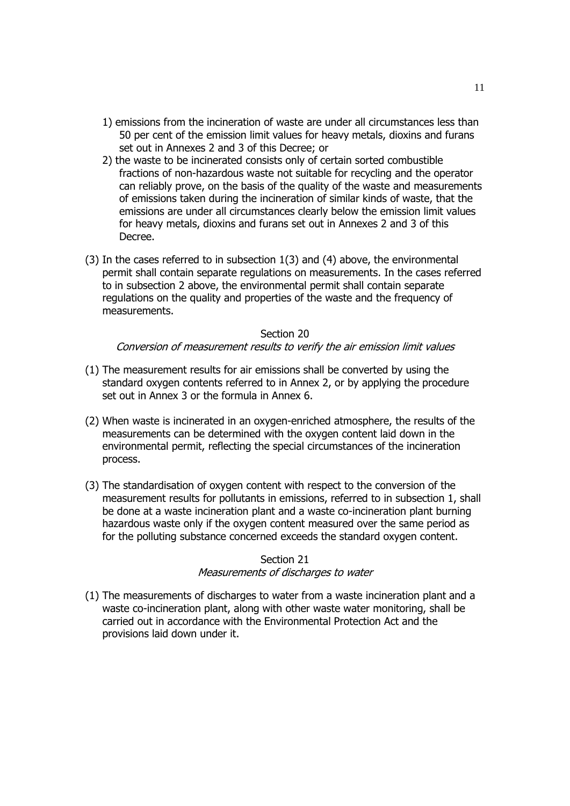- 1) emissions from the incineration of waste are under all circumstances less than 50 per cent of the emission limit values for heavy metals, dioxins and furans set out in Annexes 2 and 3 of this Decree; or
- 2) the waste to be incinerated consists only of certain sorted combustible fractions of non-hazardous waste not suitable for recycling and the operator can reliably prove, on the basis of the quality of the waste and measurements of emissions taken during the incineration of similar kinds of waste, that the emissions are under all circumstances clearly below the emission limit values for heavy metals, dioxins and furans set out in Annexes 2 and 3 of this Decree.
- (3) In the cases referred to in subsection 1(3) and (4) above, the environmental permit shall contain separate regulations on measurements. In the cases referred to in subsection 2 above, the environmental permit shall contain separate regulations on the quality and properties of the waste and the frequency of measurements.

#### Conversion of measurement results to verify the air emission limit values

- (1) The measurement results for air emissions shall be converted by using the standard oxygen contents referred to in Annex 2, or by applying the procedure set out in Annex 3 or the formula in Annex 6.
- (2) When waste is incinerated in an oxygen-enriched atmosphere, the results of the measurements can be determined with the oxygen content laid down in the environmental permit, reflecting the special circumstances of the incineration process.
- (3) The standardisation of oxygen content with respect to the conversion of the measurement results for pollutants in emissions, referred to in subsection 1, shall be done at a waste incineration plant and a waste co-incineration plant burning hazardous waste only if the oxygen content measured over the same period as for the polluting substance concerned exceeds the standard oxygen content.

### Section 21

#### Measurements of discharges to water

(1) The measurements of discharges to water from a waste incineration plant and a waste co-incineration plant, along with other waste water monitoring, shall be carried out in accordance with the Environmental Protection Act and the provisions laid down under it.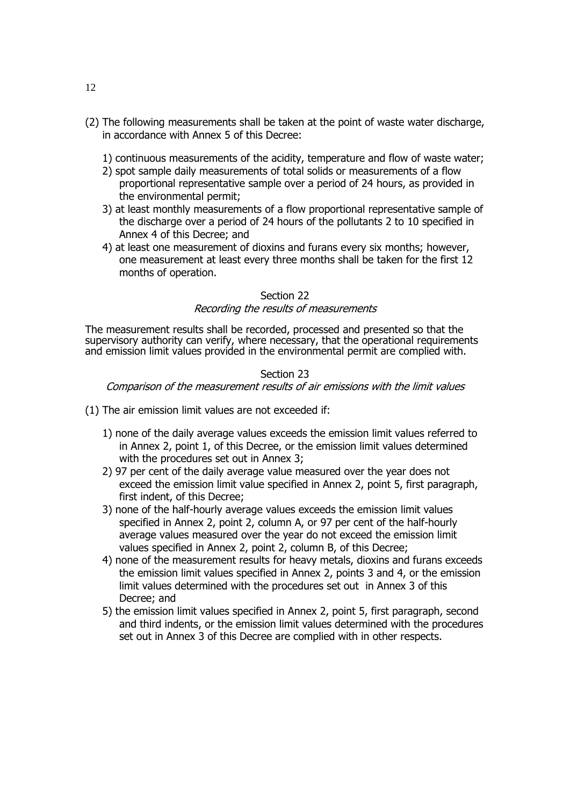- (2) The following measurements shall be taken at the point of waste water discharge, in accordance with Annex 5 of this Decree:
	- 1) continuous measurements of the acidity, temperature and flow of waste water;
	- 2) spot sample daily measurements of total solids or measurements of a flow proportional representative sample over a period of 24 hours, as provided in the environmental permit;
	- 3) at least monthly measurements of a flow proportional representative sample of the discharge over a period of 24 hours of the pollutants 2 to 10 specified in Annex 4 of this Decree; and
	- 4) at least one measurement of dioxins and furans every six months; however, one measurement at least every three months shall be taken for the first 12 months of operation.

## Recording the results of measurements

The measurement results shall be recorded, processed and presented so that the supervisory authority can verify, where necessary, that the operational requirements and emission limit values provided in the environmental permit are complied with.

## Section 23 Comparison of the measurement results of air emissions with the limit values

- (1) The air emission limit values are not exceeded if:
	- 1) none of the daily average values exceeds the emission limit values referred to in Annex 2, point 1, of this Decree, or the emission limit values determined with the procedures set out in Annex 3;
	- 2) 97 per cent of the daily average value measured over the year does not exceed the emission limit value specified in Annex 2, point 5, first paragraph, first indent, of this Decree;
	- 3) none of the half-hourly average values exceeds the emission limit values specified in Annex 2, point 2, column A, or 97 per cent of the half-hourly average values measured over the year do not exceed the emission limit values specified in Annex 2, point 2, column B, of this Decree;
	- 4) none of the measurement results for heavy metals, dioxins and furans exceeds the emission limit values specified in Annex 2, points 3 and 4, or the emission limit values determined with the procedures set out in Annex 3 of this Decree; and
	- 5) the emission limit values specified in Annex 2, point 5, first paragraph, second and third indents, or the emission limit values determined with the procedures set out in Annex 3 of this Decree are complied with in other respects.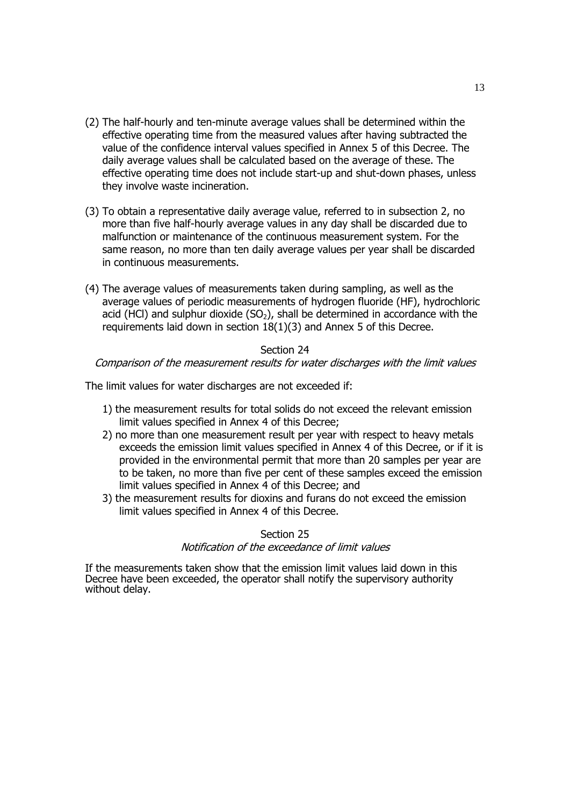- (2) The half-hourly and ten-minute average values shall be determined within the effective operating time from the measured values after having subtracted the value of the confidence interval values specified in Annex 5 of this Decree. The daily average values shall be calculated based on the average of these. The effective operating time does not include start-up and shut-down phases, unless they involve waste incineration.
- (3) To obtain a representative daily average value, referred to in subsection 2, no more than five half-hourly average values in any day shall be discarded due to malfunction or maintenance of the continuous measurement system. For the same reason, no more than ten daily average values per year shall be discarded in continuous measurements.
- (4) The average values of measurements taken during sampling, as well as the average values of periodic measurements of hydrogen fluoride (HF), hydrochloric acid (HCl) and sulphur dioxide  $(SO<sub>2</sub>)$ , shall be determined in accordance with the requirements laid down in section 18(1)(3) and Annex 5 of this Decree.

Comparison of the measurement results for water discharges with the limit values

The limit values for water discharges are not exceeded if:

- 1) the measurement results for total solids do not exceed the relevant emission limit values specified in Annex 4 of this Decree;
- 2) no more than one measurement result per year with respect to heavy metals exceeds the emission limit values specified in Annex 4 of this Decree, or if it is provided in the environmental permit that more than 20 samples per year are to be taken, no more than five per cent of these samples exceed the emission limit values specified in Annex 4 of this Decree; and
- 3) the measurement results for dioxins and furans do not exceed the emission limit values specified in Annex 4 of this Decree.

## Section 25 Notification of the exceedance of limit values

If the measurements taken show that the emission limit values laid down in this Decree have been exceeded, the operator shall notify the supervisory authority without delay.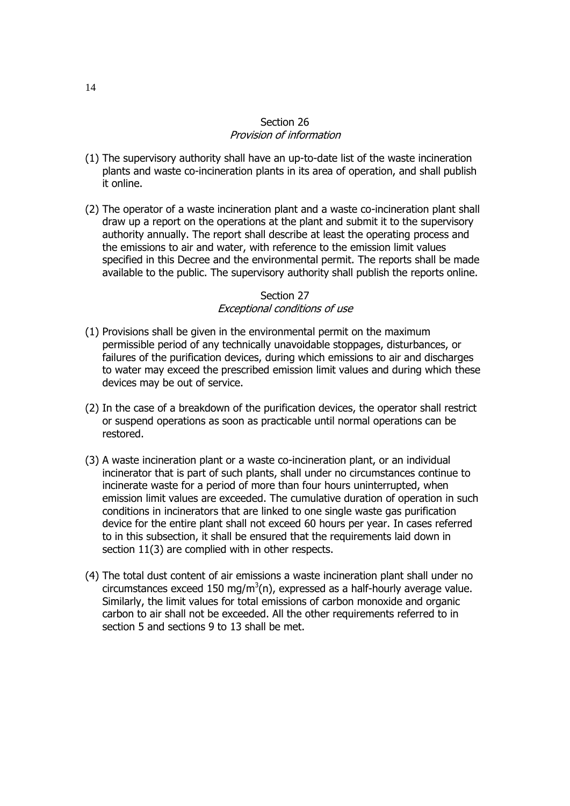## Section 26 Provision of information

- (1) The supervisory authority shall have an up-to-date list of the waste incineration plants and waste co-incineration plants in its area of operation, and shall publish it online.
- (2) The operator of a waste incineration plant and a waste co-incineration plant shall draw up a report on the operations at the plant and submit it to the supervisory authority annually. The report shall describe at least the operating process and the emissions to air and water, with reference to the emission limit values specified in this Decree and the environmental permit. The reports shall be made available to the public. The supervisory authority shall publish the reports online.

#### Section 27 Exceptional conditions of use

- (1) Provisions shall be given in the environmental permit on the maximum permissible period of any technically unavoidable stoppages, disturbances, or failures of the purification devices, during which emissions to air and discharges to water may exceed the prescribed emission limit values and during which these devices may be out of service.
- (2) In the case of a breakdown of the purification devices, the operator shall restrict or suspend operations as soon as practicable until normal operations can be restored.
- (3) A waste incineration plant or a waste co-incineration plant, or an individual incinerator that is part of such plants, shall under no circumstances continue to incinerate waste for a period of more than four hours uninterrupted, when emission limit values are exceeded. The cumulative duration of operation in such conditions in incinerators that are linked to one single waste gas purification device for the entire plant shall not exceed 60 hours per year. In cases referred to in this subsection, it shall be ensured that the requirements laid down in section 11(3) are complied with in other respects.
- (4) The total dust content of air emissions a waste incineration plant shall under no circumstances exceed 150 mg/m<sup>3</sup>(n), expressed as a half-hourly average value. Similarly, the limit values for total emissions of carbon monoxide and organic carbon to air shall not be exceeded. All the other requirements referred to in section 5 and sections 9 to 13 shall be met.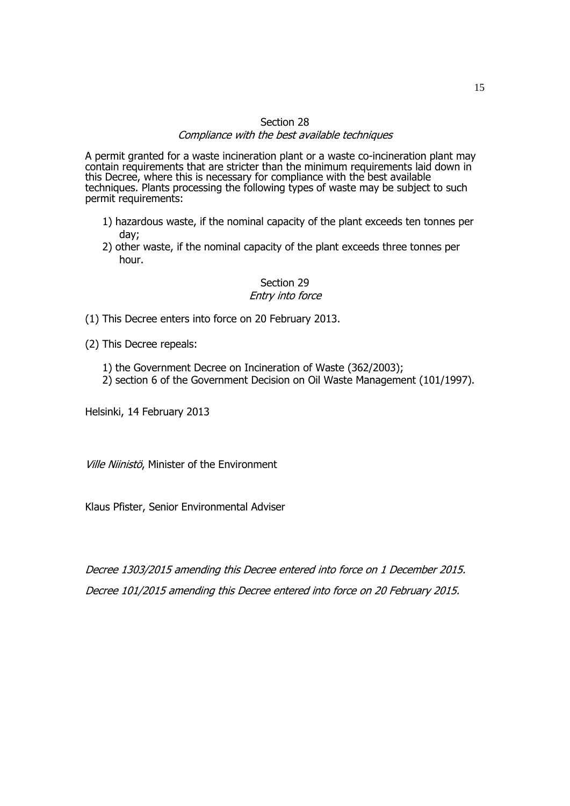## Section 28 Compliance with the best available techniques

A permit granted for a waste incineration plant or a waste co-incineration plant may contain requirements that are stricter than the minimum requirements laid down in this Decree, where this is necessary for compliance with the best available techniques. Plants processing the following types of waste may be subject to such permit requirements:

- 1) hazardous waste, if the nominal capacity of the plant exceeds ten tonnes per day;
- 2) other waste, if the nominal capacity of the plant exceeds three tonnes per hour.

### Section 29 Entry into force

- (1) This Decree enters into force on 20 February 2013.
- (2) This Decree repeals:
	- 1) the Government Decree on Incineration of Waste (362/2003);
	- 2) section 6 of the Government Decision on Oil Waste Management (101/1997).

Helsinki, 14 February 2013

Ville Niinistö, Minister of the Environment

Klaus Pfister, Senior Environmental Adviser

Decree 1303/2015 amending this Decree entered into force on 1 December 2015. Decree 101/2015 amending this Decree entered into force on 20 February 2015.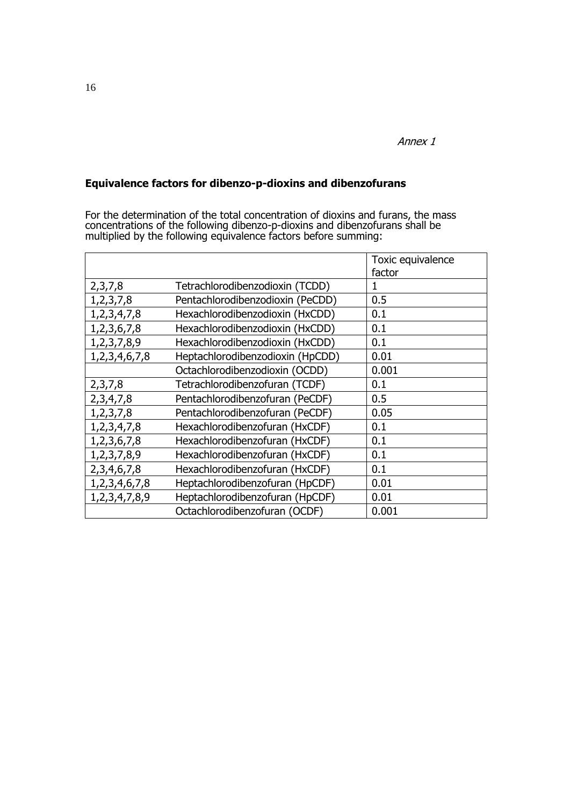# **Equivalence factors for dibenzo-p-dioxins and dibenzofurans**

For the determination of the total concentration of dioxins and furans, the mass concentrations of the following dibenzo-p-dioxins and dibenzofurans shall be multiplied by the following equivalence factors before summing:

|                  |                                  | Toxic equivalence<br>factor |
|------------------|----------------------------------|-----------------------------|
| 2,3,7,8          | Tetrachlorodibenzodioxin (TCDD)  | 1                           |
| 1, 2, 3, 7, 8    | Pentachlorodibenzodioxin (PeCDD) | 0.5                         |
| 1,2,3,4,7,8      | Hexachlorodibenzodioxin (HxCDD)  | 0.1                         |
| 1, 2, 3, 6, 7, 8 | Hexachlorodibenzodioxin (HxCDD)  | 0.1                         |
| 1,2,3,7,8,9      | Hexachlorodibenzodioxin (HxCDD)  | 0.1                         |
| 1,2,3,4,6,7,8    | Heptachlorodibenzodioxin (HpCDD) | 0.01                        |
|                  | Octachlorodibenzodioxin (OCDD)   | 0.001                       |
| 2,3,7,8          | Tetrachlorodibenzofuran (TCDF)   | 0.1                         |
| 2,3,4,7,8        | Pentachlorodibenzofuran (PeCDF)  | 0.5                         |
| 1, 2, 3, 7, 8    | Pentachlorodibenzofuran (PeCDF)  | 0.05                        |
| 1,2,3,4,7,8      | Hexachlorodibenzofuran (HxCDF)   | 0.1                         |
| 1, 2, 3, 6, 7, 8 | Hexachlorodibenzofuran (HxCDF)   | 0.1                         |
| 1,2,3,7,8,9      | Hexachlorodibenzofuran (HxCDF)   | 0.1                         |
| 2, 3, 4, 6, 7, 8 | Hexachlorodibenzofuran (HxCDF)   | 0.1                         |
| 1,2,3,4,6,7,8    | Heptachlorodibenzofuran (HpCDF)  | 0.01                        |
| 1,2,3,4,7,8,9    | Heptachlorodibenzofuran (HpCDF)  | 0.01                        |
|                  | Octachlorodibenzofuran (OCDF)    | 0.001                       |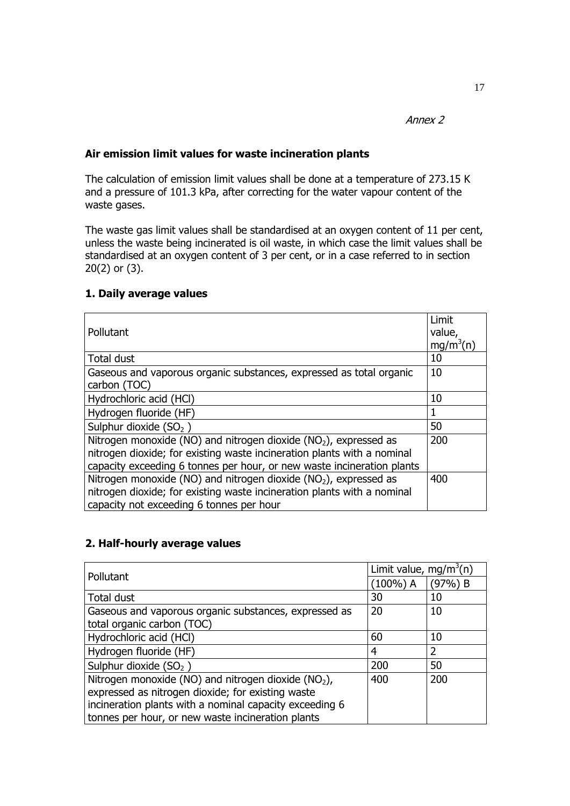## **Air emission limit values for waste incineration plants**

The calculation of emission limit values shall be done at a temperature of 273.15 K and a pressure of 101.3 kPa, after correcting for the water vapour content of the waste gases.

The waste gas limit values shall be standardised at an oxygen content of 11 per cent, unless the waste being incinerated is oil waste, in which case the limit values shall be standardised at an oxygen content of 3 per cent, or in a case referred to in section 20(2) or (3).

## **1. Daily average values**

|                                                                              | Limit                 |
|------------------------------------------------------------------------------|-----------------------|
| Pollutant                                                                    | value,                |
|                                                                              | mg/m <sup>3</sup> (n) |
| <b>Total dust</b>                                                            | 10                    |
| Gaseous and vaporous organic substances, expressed as total organic          | 10                    |
| carbon (TOC)                                                                 |                       |
| Hydrochloric acid (HCl)                                                      | 10                    |
| Hydrogen fluoride (HF)                                                       | 1                     |
| Sulphur dioxide $(SO2)$                                                      | 50                    |
| Nitrogen monoxide (NO) and nitrogen dioxide (NO <sub>2</sub> ), expressed as | 200                   |
| nitrogen dioxide; for existing waste incineration plants with a nominal      |                       |
| capacity exceeding 6 tonnes per hour, or new waste incineration plants       |                       |
| Nitrogen monoxide (NO) and nitrogen dioxide (NO <sub>2</sub> ), expressed as | 400                   |
| nitrogen dioxide; for existing waste incineration plants with a nominal      |                       |
| capacity not exceeding 6 tonnes per hour                                     |                       |

## **2. Half-hourly average values**

| Pollutant                                                       | Limit value, mg/m <sup>3</sup> (n) |           |  |
|-----------------------------------------------------------------|------------------------------------|-----------|--|
|                                                                 | $(100\%)$ A                        | $(97%)$ B |  |
| Total dust                                                      | 30                                 | 10        |  |
| Gaseous and vaporous organic substances, expressed as           | 20                                 | 10        |  |
| total organic carbon (TOC)                                      |                                    |           |  |
| Hydrochloric acid (HCl)                                         | 60                                 | 10        |  |
| Hydrogen fluoride (HF)                                          | 4                                  | 2         |  |
| Sulphur dioxide $(SO2)$                                         | 200                                | 50        |  |
| Nitrogen monoxide (NO) and nitrogen dioxide (NO <sub>2</sub> ), | 400                                | 200       |  |
| expressed as nitrogen dioxide; for existing waste               |                                    |           |  |
| incineration plants with a nominal capacity exceeding 6         |                                    |           |  |
| tonnes per hour, or new waste incineration plants               |                                    |           |  |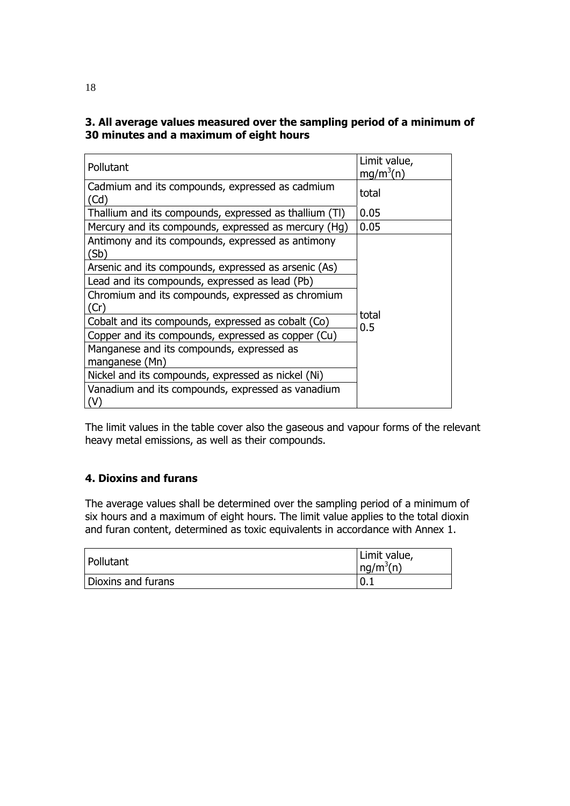# **3. All average values measured over the sampling period of a minimum of 30 minutes and a maximum of eight hours**

| Pollutant                                                 | Limit value,<br>mq/m <sup>3</sup> (n) |  |
|-----------------------------------------------------------|---------------------------------------|--|
| Cadmium and its compounds, expressed as cadmium<br>(Cd)   | total                                 |  |
| Thallium and its compounds, expressed as thallium (TI)    | 0.05                                  |  |
| Mercury and its compounds, expressed as mercury (Hg)      | 0.05                                  |  |
| Antimony and its compounds, expressed as antimony<br>(Sb) |                                       |  |
| Arsenic and its compounds, expressed as arsenic (As)      |                                       |  |
| Lead and its compounds, expressed as lead (Pb)            |                                       |  |
| Chromium and its compounds, expressed as chromium<br>(Cr) |                                       |  |
| Cobalt and its compounds, expressed as cobalt (Co)        | total<br>0.5                          |  |
| Copper and its compounds, expressed as copper (Cu)        |                                       |  |
| Manganese and its compounds, expressed as                 |                                       |  |
| manganese (Mn)                                            |                                       |  |
| Nickel and its compounds, expressed as nickel (Ni)        |                                       |  |
| Vanadium and its compounds, expressed as vanadium<br>(V)  |                                       |  |

The limit values in the table cover also the gaseous and vapour forms of the relevant heavy metal emissions, as well as their compounds.

# **4. Dioxins and furans**

The average values shall be determined over the sampling period of a minimum of six hours and a maximum of eight hours. The limit value applies to the total dioxin and furan content, determined as toxic equivalents in accordance with Annex 1.

| Pollutant          | Limit value,<br>ng/m <sup>3</sup> (n) |
|--------------------|---------------------------------------|
| Dioxins and furans | 10.1                                  |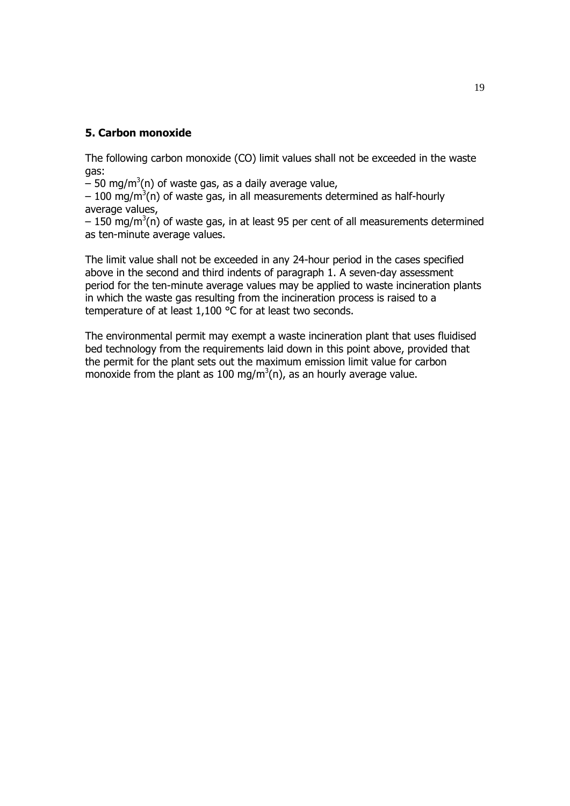## **5. Carbon monoxide**

The following carbon monoxide (CO) limit values shall not be exceeded in the waste gas:

 $-$  50 mg/m<sup>3</sup>(n) of waste gas, as a daily average value,

 $-100$  mg/m<sup>3</sup>(n) of waste gas, in all measurements determined as half-hourly average values,

 $-$  150 mg/m<sup>3</sup>(n) of waste gas, in at least 95 per cent of all measurements determined as ten-minute average values.

The limit value shall not be exceeded in any 24-hour period in the cases specified above in the second and third indents of paragraph 1. A seven-day assessment period for the ten-minute average values may be applied to waste incineration plants in which the waste gas resulting from the incineration process is raised to a temperature of at least 1,100 °C for at least two seconds.

The environmental permit may exempt a waste incineration plant that uses fluidised bed technology from the requirements laid down in this point above, provided that the permit for the plant sets out the maximum emission limit value for carbon monoxide from the plant as 100 mg/m<sup>3</sup>(n), as an hourly average value.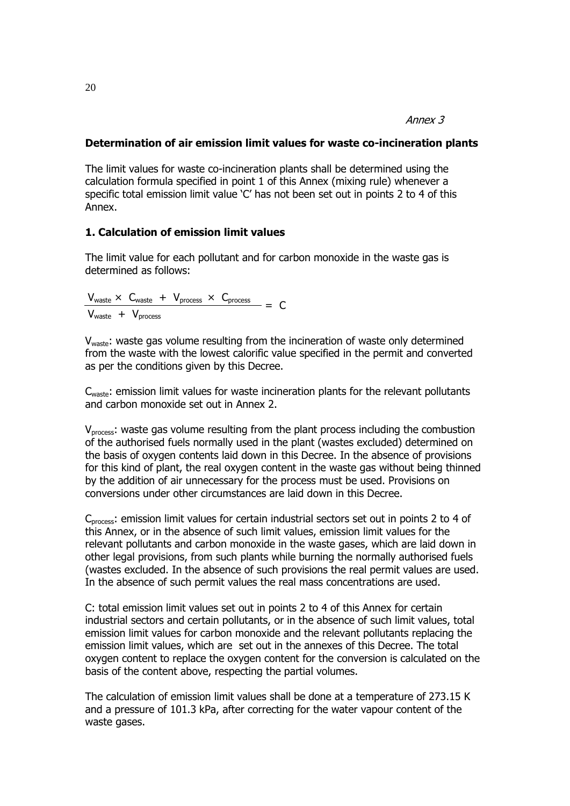## **Determination of air emission limit values for waste co-incineration plants**

The limit values for waste co-incineration plants shall be determined using the calculation formula specified in point 1 of this Annex (mixing rule) whenever a specific total emission limit value 'C' has not been set out in points 2 to 4 of this Annex.

## **1. Calculation of emission limit values**

The limit value for each pollutant and for carbon monoxide in the waste gas is determined as follows:

 $V_{\text{waste}} \times C_{\text{waste}} + V_{\text{process}} \times C_{\text{process}}$  = C  $V_{waste} + V_{process}$ 

V<sub>waste</sub>: waste gas volume resulting from the incineration of waste only determined from the waste with the lowest calorific value specified in the permit and converted as per the conditions given by this Decree.

C<sub>waste</sub>: emission limit values for waste incineration plants for the relevant pollutants and carbon monoxide set out in Annex 2.

V<sub>process</sub>: waste gas volume resulting from the plant process including the combustion of the authorised fuels normally used in the plant (wastes excluded) determined on the basis of oxygen contents laid down in this Decree. In the absence of provisions for this kind of plant, the real oxygen content in the waste gas without being thinned by the addition of air unnecessary for the process must be used. Provisions on conversions under other circumstances are laid down in this Decree.

C<sub>process</sub>: emission limit values for certain industrial sectors set out in points 2 to 4 of this Annex, or in the absence of such limit values, emission limit values for the relevant pollutants and carbon monoxide in the waste gases, which are laid down in other legal provisions, from such plants while burning the normally authorised fuels (wastes excluded. In the absence of such provisions the real permit values are used. In the absence of such permit values the real mass concentrations are used.

C: total emission limit values set out in points 2 to 4 of this Annex for certain industrial sectors and certain pollutants, or in the absence of such limit values, total emission limit values for carbon monoxide and the relevant pollutants replacing the emission limit values, which are set out in the annexes of this Decree. The total oxygen content to replace the oxygen content for the conversion is calculated on the basis of the content above, respecting the partial volumes.

The calculation of emission limit values shall be done at a temperature of 273.15 K and a pressure of 101.3 kPa, after correcting for the water vapour content of the waste gases.

20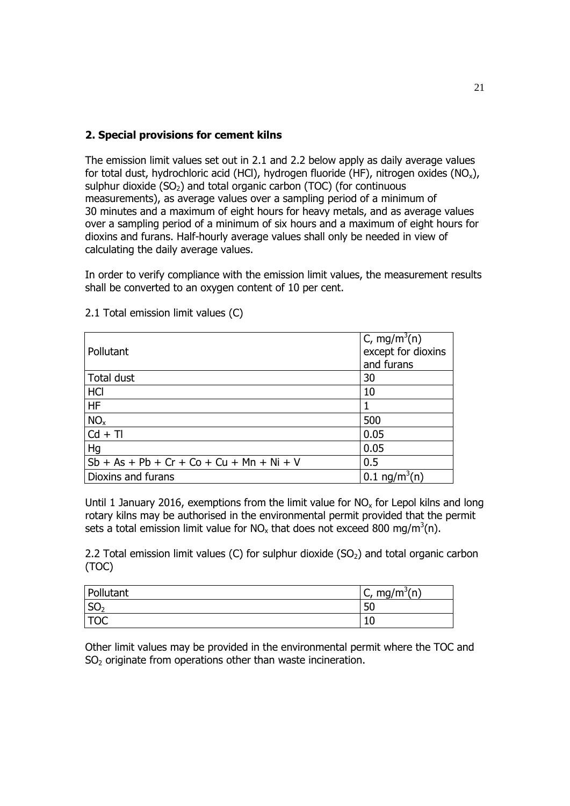# **2. Special provisions for cement kilns**

The emission limit values set out in 2.1 and 2.2 below apply as daily average values for total dust, hydrochloric acid (HCl), hydrogen fluoride (HF), nitrogen oxides (NO<sub>x</sub>), sulphur dioxide  $(SO<sub>2</sub>)$  and total organic carbon (TOC) (for continuous measurements), as average values over a sampling period of a minimum of 30 minutes and a maximum of eight hours for heavy metals, and as average values over a sampling period of a minimum of six hours and a maximum of eight hours for dioxins and furans. Half-hourly average values shall only be needed in view of calculating the daily average values.

In order to verify compliance with the emission limit values, the measurement results shall be converted to an oxygen content of 10 per cent.

|                                             | C, mg/m <sup>3</sup> (n) |
|---------------------------------------------|--------------------------|
| Pollutant                                   | except for dioxins       |
|                                             | and furans               |
| Total dust                                  | 30                       |
| HCI                                         | 10                       |
| <b>HF</b>                                   |                          |
| NO <sub>x</sub>                             | 500                      |
| $Cd + TI$                                   | 0.05                     |
| Hg                                          | 0.05                     |
| $Sb + As + Pb + Cr + Co + Cu + Mn + Ni + V$ | 0.5                      |
| Dioxins and furans                          | $0.1 \text{ ng/m}^3(n)$  |

2.1 Total emission limit values (C)

Until 1 January 2016, exemptions from the limit value for  $NO<sub>x</sub>$  for Lepol kilns and long rotary kilns may be authorised in the environmental permit provided that the permit sets a total emission limit value for NO<sub>x</sub> that does not exceed 800 mg/m<sup>3</sup>(n).

2.2 Total emission limit values (C) for sulphur dioxide  $(SO<sub>2</sub>)$  and total organic carbon (TOC)

| Pollutant       | $mg/m^3(n)$<br>C, |
|-----------------|-------------------|
| SO <sub>2</sub> | 50                |
| <b>TOC</b>      |                   |

Other limit values may be provided in the environmental permit where the TOC and  $SO<sub>2</sub>$  originate from operations other than waste incineration.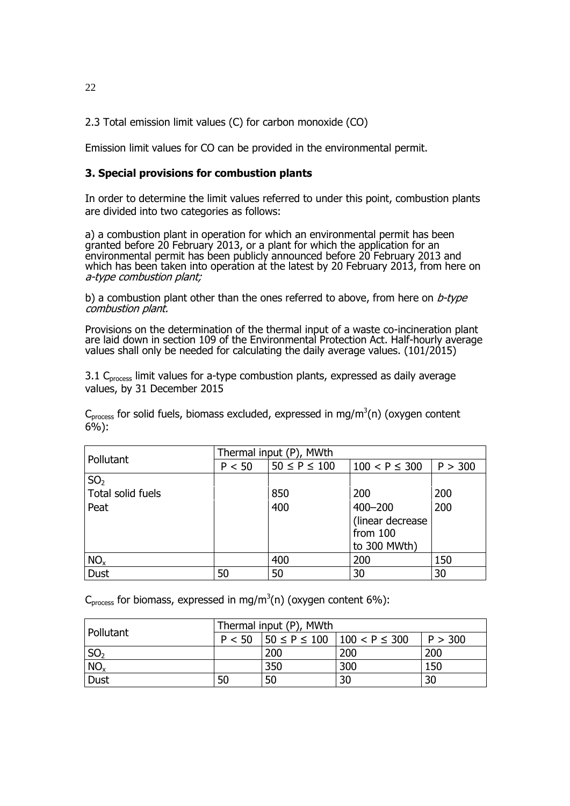2.3 Total emission limit values (C) for carbon monoxide (CO)

Emission limit values for CO can be provided in the environmental permit.

## **3. Special provisions for combustion plants**

In order to determine the limit values referred to under this point, combustion plants are divided into two categories as follows:

a) a combustion plant in operation for which an environmental permit has been granted before 20 February 2013, or a plant for which the application for an environmental permit has been publicly announced before 20 February 2013 and which has been taken into operation at the latest by 20 February 2013, from here on a-type combustion plant;

b) a combustion plant other than the ones referred to above, from here on  $b$ -type combustion plant.

Provisions on the determination of the thermal input of a waste co-incineration plant are laid down in section 109 of the Environmental Protection Act. Half-hourly average values shall only be needed for calculating the daily average values. (101/2015)

3.1 C<sub>process</sub> limit values for a-type combustion plants, expressed as daily average values, by 31 December 2015

 $C_{process}$  for solid fuels, biomass excluded, expressed in mg/m<sup>3</sup>(n) (oxygen content 6%):

| Pollutant         | Thermal input (P), MWth |                    |                                               |         |
|-------------------|-------------------------|--------------------|-----------------------------------------------|---------|
|                   | P < 50                  | $50 \le P \le 100$ | $100 < P \leq 300$                            | P > 300 |
| SO <sub>2</sub>   |                         |                    |                                               |         |
| Total solid fuels |                         | 850                | 200                                           | 200     |
| Peat              |                         | 400                | $400 - 200$                                   | 200     |
|                   |                         |                    | (linear decrease)<br>from 100<br>to 300 MWth) |         |
| NO <sub>x</sub>   |                         | 400                | 200                                           | 150     |
| <b>Dust</b>       | 50                      | 50                 | 30                                            | 30      |

C<sub>process</sub> for biomass, expressed in mg/m<sup>3</sup>(n) (oxygen content 6%):

| Pollutant        | Thermal input (P), MWth |     |                                              |                 |
|------------------|-------------------------|-----|----------------------------------------------|-----------------|
|                  | P < 50                  |     | $ 50 \leq P \leq 100$ $ 100 \leq P \leq 300$ | P > 300         |
| $\mathsf{ISO}_2$ |                         | 200 | 200                                          | 200             |
| NO <sub>x</sub>  |                         | 350 | 300                                          | 150             |
| <b>Dust</b>      | 50                      | 50  | 30                                           | $\overline{30}$ |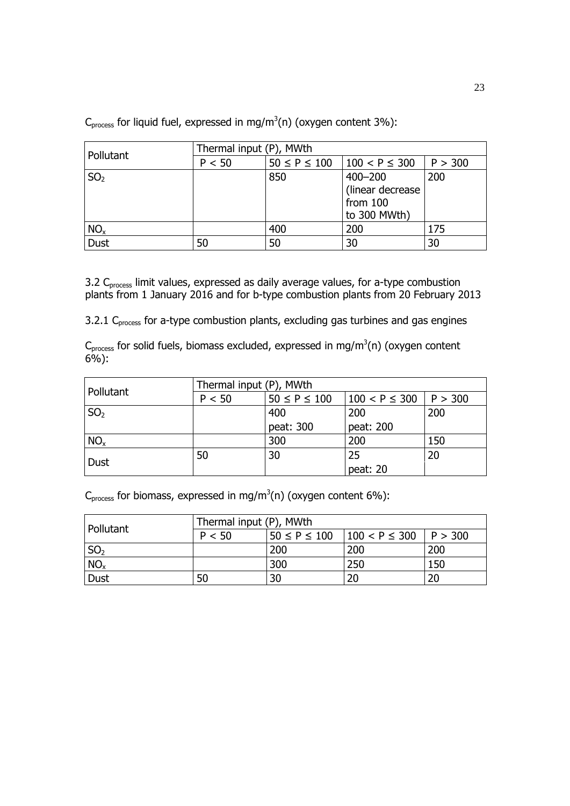| Pollutant       | Thermal input (P), MWth |                    |                    |         |  |
|-----------------|-------------------------|--------------------|--------------------|---------|--|
|                 | P < 50                  | $50 \le P \le 100$ | $100 < P \leq 300$ | P > 300 |  |
| SO <sub>2</sub> |                         | 850                | $400 - 200$        | 200     |  |
|                 |                         |                    | (linear decrease)  |         |  |
|                 |                         |                    | from 100           |         |  |
|                 |                         |                    | to 300 MWth)       |         |  |
| NO <sub>x</sub> |                         | 400                | 200                | 175     |  |
| <b>Dust</b>     | 50                      | 50                 | 30                 | 30      |  |

C<sub>process</sub> for liquid fuel, expressed in mg/m<sup>3</sup>(n) (oxygen content 3%):

3.2 C<sub>process</sub> limit values, expressed as daily average values, for a-type combustion plants from 1 January 2016 and for b-type combustion plants from 20 February 2013

3.2.1 C<sub>process</sub> for a-type combustion plants, excluding gas turbines and gas engines

 $C_{process}$  for solid fuels, biomass excluded, expressed in mg/m<sup>3</sup>(n) (oxygen content 6%):

| Pollutant       | Thermal input (P), MWth |                    |                    |         |
|-----------------|-------------------------|--------------------|--------------------|---------|
|                 | P < 50                  | $50 \le P \le 100$ | $100 < P \leq 300$ | P > 300 |
| SO <sub>2</sub> |                         | 400                | 200                | 200     |
|                 |                         | peat: 300          | peat: 200          |         |
| NO <sub>x</sub> |                         | 300                | 200                | 150     |
|                 | 50                      | 30                 | 25                 | 20      |
| Dust            |                         |                    | peat: 20           |         |

C<sub>process</sub> for biomass, expressed in mg/m<sup>3</sup>(n) (oxygen content 6%):

| Pollutant       | Thermal input (P), MWth |                    |                              |     |
|-----------------|-------------------------|--------------------|------------------------------|-----|
|                 | P < 50                  | $50 \le P \le 100$ | $100 < P \leq 300$   P > 300 |     |
| SO <sub>2</sub> |                         | 200                | 200                          | 200 |
| NO <sub>x</sub> |                         | 300                | 250                          | 150 |
| <b>Dust</b>     | 50                      | 30                 | 20                           | 20  |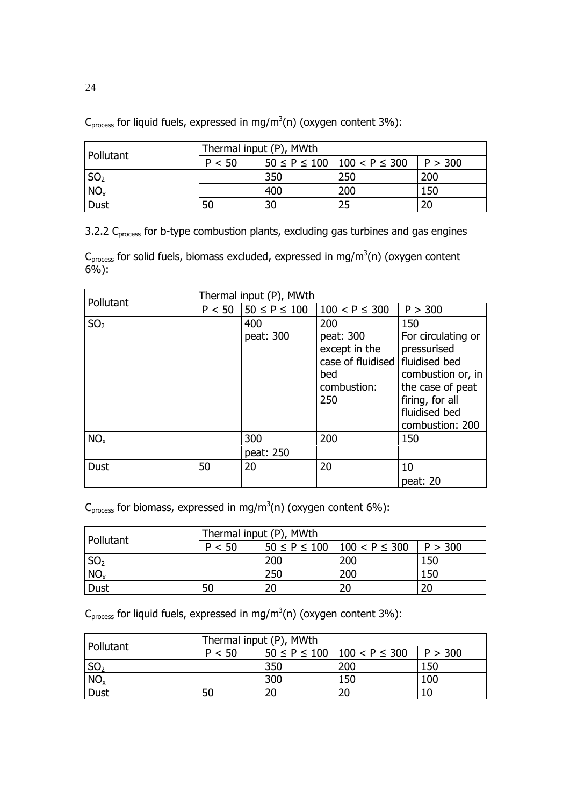| Pollutant       | Thermal input (P), MWth |     |                                                  |     |
|-----------------|-------------------------|-----|--------------------------------------------------|-----|
|                 | P < 50                  |     | $50 \le P \le 100$   100 < P $\le$ 300   P > 300 |     |
| $\text{SO}_2$   |                         | 350 | 250                                              | 200 |
| NO <sub>x</sub> |                         | 400 | 200                                              | 150 |
| Dust            | 50                      | 30  | 25                                               | 20  |

C<sub>process</sub> for liquid fuels, expressed in mg/m<sup>3</sup>(n) (oxygen content 3%):

3.2.2 C<sub>process</sub> for b-type combustion plants, excluding gas turbines and gas engines

 $C_{process}$  for solid fuels, biomass excluded, expressed in mg/m<sup>3</sup>(n) (oxygen content 6%):

|                 | Thermal input (P), MWth |                    |                                                                              |                                                                                                    |
|-----------------|-------------------------|--------------------|------------------------------------------------------------------------------|----------------------------------------------------------------------------------------------------|
| Pollutant       | P < 50                  | $50 \le P \le 100$ | $100 < P \leq 300$                                                           | P > 300                                                                                            |
| SO <sub>2</sub> |                         | 400<br>peat: 300   | 200<br>peat: 300<br>except in the<br>case of fluidised<br>bed<br>combustion: | 150<br>For circulating or<br>pressurised<br>fluidised bed<br>combustion or, in<br>the case of peat |
|                 |                         |                    | 250                                                                          | firing, for all<br>fluidised bed<br>combustion: 200                                                |
| NO <sub>x</sub> |                         | 300<br>peat: 250   | 200                                                                          | 150                                                                                                |
| <b>Dust</b>     | 50                      | 20                 | 20                                                                           | 10<br>peat: 20                                                                                     |

C<sub>process</sub> for biomass, expressed in mg/m<sup>3</sup>(n) (oxygen content 6%):

| Pollutant       | Thermal input (P), MWth |     |                                                  |     |
|-----------------|-------------------------|-----|--------------------------------------------------|-----|
|                 | P < 50                  |     | $50 \le P \le 100$   100 < P $\le$ 300   P > 300 |     |
| SO <sub>2</sub> |                         | 200 | 200                                              | 150 |
| NO <sub>x</sub> |                         | 250 | 200                                              | 150 |
| <b>Dust</b>     | 50                      | 20  | 20                                               | 20  |

C<sub>process</sub> for liquid fuels, expressed in mg/m<sup>3</sup>(n) (oxygen content 3%):

| Pollutant       | Thermal input (P), MWth |     |                                        |         |
|-----------------|-------------------------|-----|----------------------------------------|---------|
|                 | P < 50                  |     | $50 \le P \le 100$   100 < P $\le$ 300 | P > 300 |
| SO <sub>2</sub> |                         | 350 | 200                                    | 150     |
| NO <sub>x</sub> |                         | 300 | 150                                    | 100     |
| <b>Dust</b>     | 50                      | 20  | 20                                     | 10      |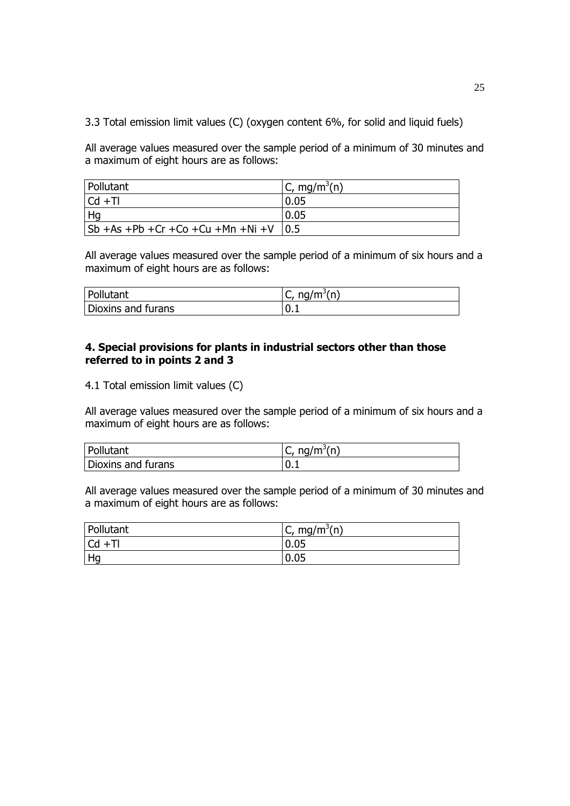3.3 Total emission limit values (C) (oxygen content 6%, for solid and liquid fuels)

All average values measured over the sample period of a minimum of 30 minutes and a maximum of eight hours are as follows:

| Pollutant                                          | C, mg/m <sup>3</sup> (n) |
|----------------------------------------------------|--------------------------|
| $ Cd +T $                                          | 0.05                     |
| Hq                                                 | 0.05                     |
| $ Sb + As + Pb + Cr + Co + Cu + Mn + Ni + V   0.5$ |                          |

All average values measured over the sample period of a minimum of six hours and a maximum of eight hours are as follows:

| Pollutant          | $\bar{m}$ ng/m <sup>3</sup> (n)<br>$\mathsf{C}$ , |
|--------------------|---------------------------------------------------|
| Dioxins and furans | $-10.1$                                           |

## **4. Special provisions for plants in industrial sectors other than those referred to in points 2 and 3**

4.1 Total emission limit values (C)

All average values measured over the sample period of a minimum of six hours and a maximum of eight hours are as follows:

| Pollutant          | nq/m <sup>3</sup> (n)<br>ີ |
|--------------------|----------------------------|
| Dioxins and furans | .∪.⊥                       |

All average values measured over the sample period of a minimum of 30 minutes and a maximum of eight hours are as follows:

| Pollutant         | mg/m <sup>3</sup> (n)<br>$\mathsf{C}$ |
|-------------------|---------------------------------------|
| <b>Cd</b><br>$+T$ | 0.05                                  |
| Hg                | 0.05                                  |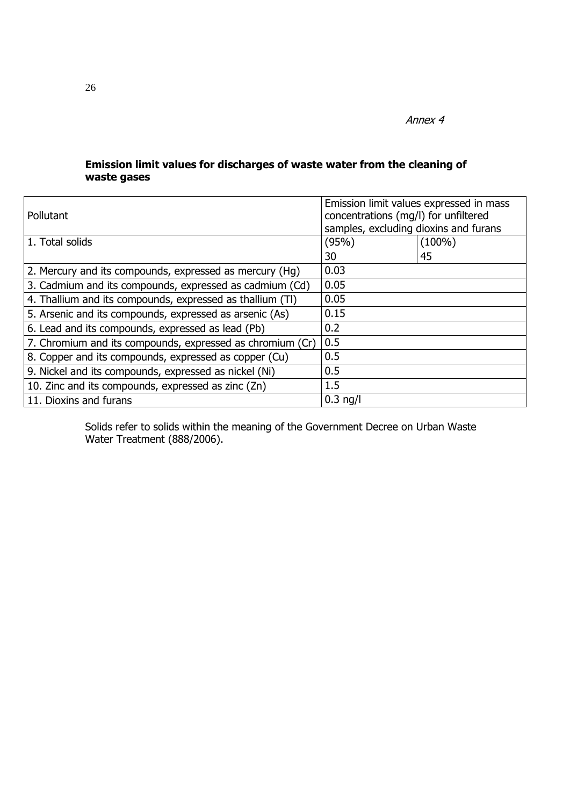# **Emission limit values for discharges of waste water from the cleaning of waste gases**

| Pollutant                                                 | Emission limit values expressed in mass<br>concentrations (mg/l) for unfiltered<br>samples, excluding dioxins and furans |           |  |
|-----------------------------------------------------------|--------------------------------------------------------------------------------------------------------------------------|-----------|--|
| 1. Total solids                                           | (95%)                                                                                                                    | $(100\%)$ |  |
|                                                           | 30                                                                                                                       | 45        |  |
| 2. Mercury and its compounds, expressed as mercury (Hg)   | 0.03                                                                                                                     |           |  |
| 3. Cadmium and its compounds, expressed as cadmium (Cd)   | 0.05                                                                                                                     |           |  |
| 4. Thallium and its compounds, expressed as thallium (TI) | 0.05                                                                                                                     |           |  |
| 5. Arsenic and its compounds, expressed as arsenic (As)   | 0.15                                                                                                                     |           |  |
| 6. Lead and its compounds, expressed as lead (Pb)         | 0.2                                                                                                                      |           |  |
| 7. Chromium and its compounds, expressed as chromium (Cr) | 0.5                                                                                                                      |           |  |
| 8. Copper and its compounds, expressed as copper (Cu)     | 0.5                                                                                                                      |           |  |
| 9. Nickel and its compounds, expressed as nickel (Ni)     | 0.5                                                                                                                      |           |  |
| 10. Zinc and its compounds, expressed as zinc (Zn)        | 1.5                                                                                                                      |           |  |
| 11. Dioxins and furans                                    | $0.3$ ng/l                                                                                                               |           |  |

Solids refer to solids within the meaning of the Government Decree on Urban Waste Water Treatment (888/2006).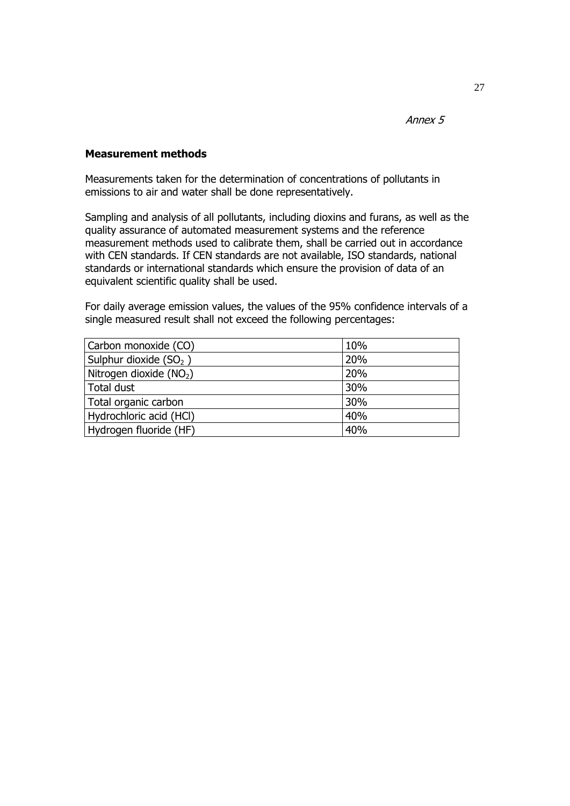## **Measurement methods**

Measurements taken for the determination of concentrations of pollutants in emissions to air and water shall be done representatively.

Sampling and analysis of all pollutants, including dioxins and furans, as well as the quality assurance of automated measurement systems and the reference measurement methods used to calibrate them, shall be carried out in accordance with CEN standards. If CEN standards are not available, ISO standards, national standards or international standards which ensure the provision of data of an equivalent scientific quality shall be used.

For daily average emission values, the values of the 95% confidence intervals of a single measured result shall not exceed the following percentages:

| Carbon monoxide (CO)     | 10% |
|--------------------------|-----|
| Sulphur dioxide $(SO2)$  | 20% |
| Nitrogen dioxide $(NO2)$ | 20% |
| Total dust               | 30% |
| Total organic carbon     | 30% |
| Hydrochloric acid (HCl)  | 40% |
| Hydrogen fluoride (HF)   | 40% |